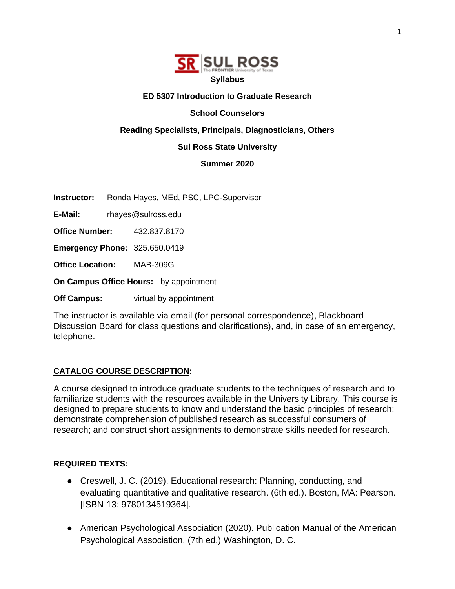

## **ED 5307 Introduction to Graduate Research**

## **School Counselors**

## **Reading Specialists, Principals, Diagnosticians, Others**

#### **Sul Ross State University**

## **Summer 2020**

**Instructor:** Ronda Hayes, MEd, PSC, LPC-Supervisor

**E-Mail:** rhayes@sulross.edu

**Office Number:** 432.837.8170

**Emergency Phone:** 325.650.0419

**Office Location:** MAB-309G

**On Campus Office Hours:** by appointment

**Off Campus:** virtual by appointment

The instructor is available via email (for personal correspondence), Blackboard Discussion Board for class questions and clarifications), and, in case of an emergency, telephone.

## **CATALOG COURSE DESCRIPTION:**

A course designed to introduce graduate students to the techniques of research and to familiarize students with the resources available in the University Library. This course is designed to prepare students to know and understand the basic principles of research; demonstrate comprehension of published research as successful consumers of research; and construct short assignments to demonstrate skills needed for research.

## **REQUIRED TEXTS:**

- Creswell, J. C. (2019). Educational research: Planning, conducting, and evaluating quantitative and qualitative research. (6th ed.). Boston, MA: Pearson. [ISBN-13: 9780134519364].
- American Psychological Association (2020). Publication Manual of the American Psychological Association. (7th ed.) Washington, D. C.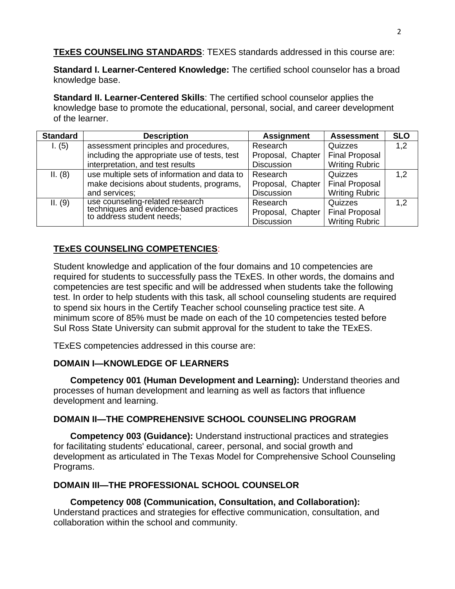**TExES COUNSELING STANDARDS**: TEXES standards addressed in this course are:

**Standard I. Learner-Centered Knowledge:** The certified school counselor has a broad knowledge base.

**Standard II. Learner-Centered Skills**: The certified school counselor applies the knowledge base to promote the educational, personal, social, and career development of the learner.

| <b>Standard</b> | <b>Description</b>                                                   | <b>Assignment</b> | <b>Assessment</b>     | <b>SLO</b> |
|-----------------|----------------------------------------------------------------------|-------------------|-----------------------|------------|
| 1. (5)          | assessment principles and procedures,                                | Research          | Quizzes               | 1,2        |
|                 | including the appropriate use of tests, test                         | Proposal, Chapter | <b>Final Proposal</b> |            |
|                 | interpretation, and test results                                     | <b>Discussion</b> | <b>Writing Rubric</b> |            |
| II. (8)         | use multiple sets of information and data to                         | Research          | Quizzes               | 1,2        |
|                 | make decisions about students, programs,                             | Proposal, Chapter | <b>Final Proposal</b> |            |
|                 | and services;                                                        | <b>Discussion</b> | <b>Writing Rubric</b> |            |
| II. (9)         | use counseling-related research                                      | Research          | Quizzes               | 1,2        |
|                 | techniques and evidence-based practices<br>to address student needs; | Proposal, Chapter | <b>Final Proposal</b> |            |
|                 |                                                                      | <b>Discussion</b> | <b>Writing Rubric</b> |            |

# **TExES COUNSELING COMPETENCIES**:

Student knowledge and application of the four domains and 10 competencies are required for students to successfully pass the TExES. In other words, the domains and competencies are test specific and will be addressed when students take the following test. In order to help students with this task, all school counseling students are required to spend six hours in the Certify Teacher school counseling practice test site. A minimum score of 85% must be made on each of the 10 competencies tested before Sul Ross State University can submit approval for the student to take the TExES.

TExES competencies addressed in this course are:

# **DOMAIN I—KNOWLEDGE OF LEARNERS**

**Competency 001 (Human Development and Learning):** Understand theories and processes of human development and learning as well as factors that influence development and learning.

# **DOMAIN II—THE COMPREHENSIVE SCHOOL COUNSELING PROGRAM**

**Competency 003 (Guidance):** Understand instructional practices and strategies for facilitating students' educational, career, personal, and social growth and development as articulated in The Texas Model for Comprehensive School Counseling Programs.

# **DOMAIN III—THE PROFESSIONAL SCHOOL COUNSELOR**

**Competency 008 (Communication, Consultation, and Collaboration):**  Understand practices and strategies for effective communication, consultation, and collaboration within the school and community.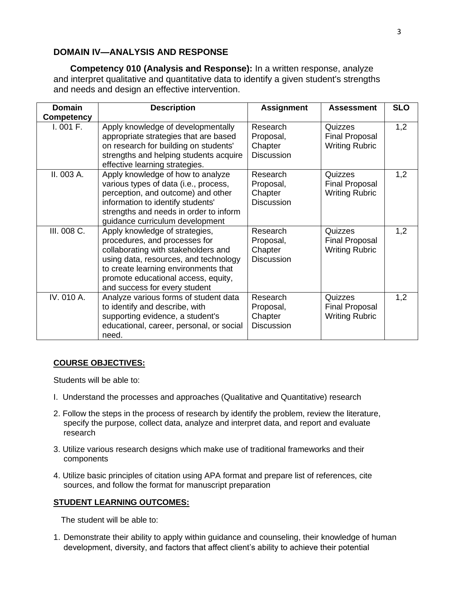# **DOMAIN IV—ANALYSIS AND RESPONSE**

**Competency 010 (Analysis and Response):** In a written response, analyze and interpret qualitative and quantitative data to identify a given student's strengths and needs and design an effective intervention.

| <b>Domain</b>     | <b>Description</b>                                                                                                                                                                                                                                              | <b>Assignment</b>                                     | <b>Assessment</b>                                         | <b>SLO</b> |
|-------------------|-----------------------------------------------------------------------------------------------------------------------------------------------------------------------------------------------------------------------------------------------------------------|-------------------------------------------------------|-----------------------------------------------------------|------------|
| <b>Competency</b> |                                                                                                                                                                                                                                                                 |                                                       |                                                           |            |
| I.001 F.          | Apply knowledge of developmentally<br>appropriate strategies that are based<br>on research for building on students'<br>strengths and helping students acquire<br>effective learning strategies.                                                                | Research<br>Proposal,<br>Chapter<br><b>Discussion</b> | Quizzes<br><b>Final Proposal</b><br><b>Writing Rubric</b> | 1,2        |
| II. 003 A.        | Apply knowledge of how to analyze<br>various types of data (i.e., process,<br>perception, and outcome) and other<br>information to identify students'<br>strengths and needs in order to inform<br>guidance curriculum development                              | Research<br>Proposal,<br>Chapter<br><b>Discussion</b> | Quizzes<br><b>Final Proposal</b><br><b>Writing Rubric</b> | 1,2        |
| III. 008 C.       | Apply knowledge of strategies,<br>procedures, and processes for<br>collaborating with stakeholders and<br>using data, resources, and technology<br>to create learning environments that<br>promote educational access, equity,<br>and success for every student | Research<br>Proposal,<br>Chapter<br><b>Discussion</b> | Quizzes<br><b>Final Proposal</b><br><b>Writing Rubric</b> | 1,2        |
| IV. 010 A.        | Analyze various forms of student data<br>to identify and describe, with<br>supporting evidence, a student's<br>educational, career, personal, or social<br>need.                                                                                                | Research<br>Proposal,<br>Chapter<br><b>Discussion</b> | Quizzes<br><b>Final Proposal</b><br><b>Writing Rubric</b> | 1,2        |

## **COURSE OBJECTIVES:**

Students will be able to:

- I. Understand the processes and approaches (Qualitative and Quantitative) research
- 2. Follow the steps in the process of research by identify the problem, review the literature, specify the purpose, collect data, analyze and interpret data, and report and evaluate research
- 3. Utilize various research designs which make use of traditional frameworks and their components
- 4. Utilize basic principles of citation using APA format and prepare list of references, cite sources, and follow the format for manuscript preparation

## **STUDENT LEARNING OUTCOMES:**

The student will be able to:

1. Demonstrate their ability to apply within guidance and counseling, their knowledge of human development, diversity, and factors that affect client's ability to achieve their potential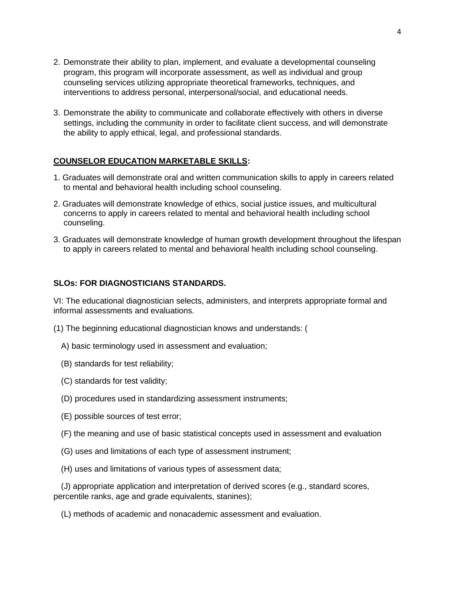- 2. Demonstrate their ability to plan, implement, and evaluate a developmental counseling program, this program will incorporate assessment, as well as individual and group counseling services utilizing appropriate theoretical frameworks, techniques, and interventions to address personal, interpersonal/social, and educational needs.
- 3. Demonstrate the ability to communicate and collaborate effectively with others in diverse settings, including the community in order to facilitate client success, and will demonstrate the ability to apply ethical, legal, and professional standards.

## **COUNSELOR EDUCATION MARKETABLE SKILLS:**

- 1. Graduates will demonstrate oral and written communication skills to apply in careers related to mental and behavioral health including school counseling.
- 2. Graduates will demonstrate knowledge of ethics, social justice issues, and multicultural concerns to apply in careers related to mental and behavioral health including school counseling.
- 3. Graduates will demonstrate knowledge of human growth development throughout the lifespan to apply in careers related to mental and behavioral health including school counseling.

## **SLOs: FOR DIAGNOSTICIANS STANDARDS.**

VI: The educational diagnostician selects, administers, and interprets appropriate formal and informal assessments and evaluations.

- (1) The beginning educational diagnostician knows and understands: (
	- A) basic terminology used in assessment and evaluation;
	- (B) standards for test reliability;
	- (C) standards for test validity;
	- (D) procedures used in standardizing assessment instruments;
	- (E) possible sources of test error;
	- (F) the meaning and use of basic statistical concepts used in assessment and evaluation
	- (G) uses and limitations of each type of assessment instrument;
	- (H) uses and limitations of various types of assessment data;

(J) appropriate application and interpretation of derived scores (e.g., standard scores, percentile ranks, age and grade equivalents, stanines);

(L) methods of academic and nonacademic assessment and evaluation.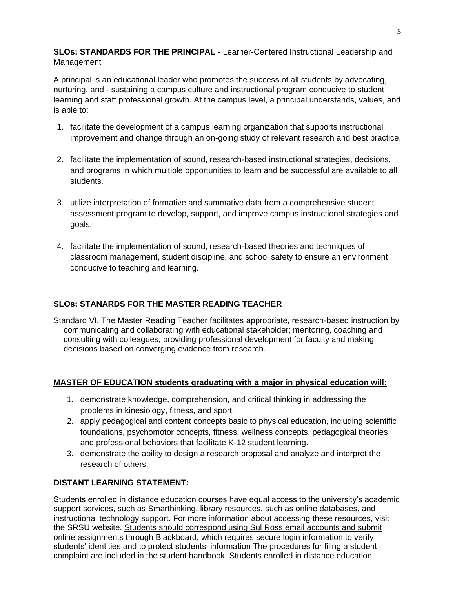**SLOs: STANDARDS FOR THE PRINCIPAL** - Learner-Centered Instructional Leadership and Management

A principal is an educational leader who promotes the success of all students by advocating, nurturing, and · sustaining a campus culture and instructional program conducive to student learning and staff professional growth. At the campus level, a principal understands, values, and is able to:

- 1. facilitate the development of a campus learning organization that supports instructional improvement and change through an on-going study of relevant research and best practice.
- 2. facilitate the implementation of sound, research-based instructional strategies, decisions, and programs in which multiple opportunities to learn and be successful are available to all students.
- 3. utilize interpretation of formative and summative data from a comprehensive student assessment program to develop, support, and improve campus instructional strategies and goals.
- 4. facilitate the implementation of sound, research-based theories and techniques of classroom management, student discipline, and school safety to ensure an environment conducive to teaching and learning.

# **SLOs: STANARDS FOR THE MASTER READING TEACHER**

Standard VI. The Master Reading Teacher facilitates appropriate, research-based instruction by communicating and collaborating with educational stakeholder; mentoring, coaching and consulting with colleagues; providing professional development for faculty and making decisions based on converging evidence from research.

# **MASTER OF EDUCATION students graduating with a major in physical education will:**

- 1. demonstrate knowledge, comprehension, and critical thinking in addressing the problems in kinesiology, fitness, and sport.
- 2. apply pedagogical and content concepts basic to physical education, including scientific foundations, psychomotor concepts, fitness, wellness concepts, pedagogical theories and professional behaviors that facilitate K-12 student learning.
- 3. demonstrate the ability to design a research proposal and analyze and interpret the research of others.

# **DISTANT LEARNING STATEMENT:**

Students enrolled in distance education courses have equal access to the university's academic support services, such as Smarthinking, library resources, such as online databases, and instructional technology support. For more information about accessing these resources, visit the SRSU website. Students should correspond using Sul Ross email accounts and submit online assignments through Blackboard, which requires secure login information to verify students' identities and to protect students' information The procedures for filing a student complaint are included in the student handbook. Students enrolled in distance education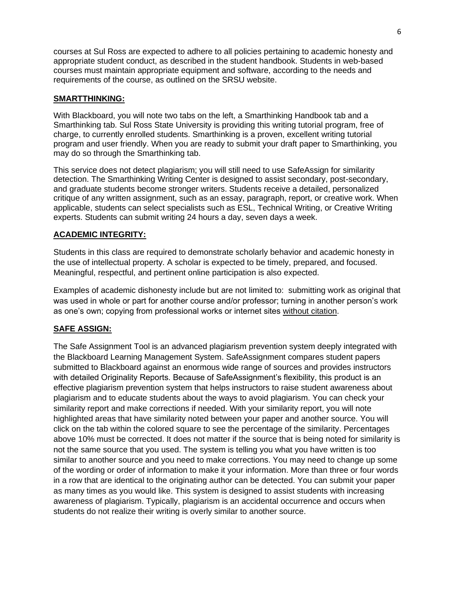courses at Sul Ross are expected to adhere to all policies pertaining to academic honesty and appropriate student conduct, as described in the student handbook. Students in web-based courses must maintain appropriate equipment and software, according to the needs and requirements of the course, as outlined on the SRSU website.

## **SMARTTHINKING:**

With Blackboard, you will note two tabs on the left, a Smarthinking Handbook tab and a Smarthinking tab. Sul Ross State University is providing this writing tutorial program, free of charge, to currently enrolled students. Smarthinking is a proven, excellent writing tutorial program and user friendly. When you are ready to submit your draft paper to Smarthinking, you may do so through the Smarthinking tab.

This service does not detect plagiarism; you will still need to use SafeAssign for similarity detection. The Smarthinking Writing Center is designed to assist secondary, post-secondary, and graduate students become stronger writers. Students receive a detailed, personalized critique of any written assignment, such as an essay, paragraph, report, or creative work. When applicable, students can select specialists such as ESL, Technical Writing, or Creative Writing experts. Students can submit writing 24 hours a day, seven days a week.

## **ACADEMIC INTEGRITY:**

Students in this class are required to demonstrate scholarly behavior and academic honesty in the use of intellectual property. A scholar is expected to be timely, prepared, and focused. Meaningful, respectful, and pertinent online participation is also expected.

Examples of academic dishonesty include but are not limited to: submitting work as original that was used in whole or part for another course and/or professor; turning in another person's work as one's own; copying from professional works or internet sites without citation.

# **SAFE ASSIGN:**

The Safe Assignment Tool is an advanced plagiarism prevention system deeply integrated with the Blackboard Learning Management System. SafeAssignment compares student papers submitted to Blackboard against an enormous wide range of sources and provides instructors with detailed Originality Reports. Because of SafeAssignment's flexibility, this product is an effective plagiarism prevention system that helps instructors to raise student awareness about plagiarism and to educate students about the ways to avoid plagiarism. You can check your similarity report and make corrections if needed. With your similarity report, you will note highlighted areas that have similarity noted between your paper and another source. You will click on the tab within the colored square to see the percentage of the similarity. Percentages above 10% must be corrected. It does not matter if the source that is being noted for similarity is not the same source that you used. The system is telling you what you have written is too similar to another source and you need to make corrections. You may need to change up some of the wording or order of information to make it your information. More than three or four words in a row that are identical to the originating author can be detected. You can submit your paper as many times as you would like. This system is designed to assist students with increasing awareness of plagiarism. Typically, plagiarism is an accidental occurrence and occurs when students do not realize their writing is overly similar to another source.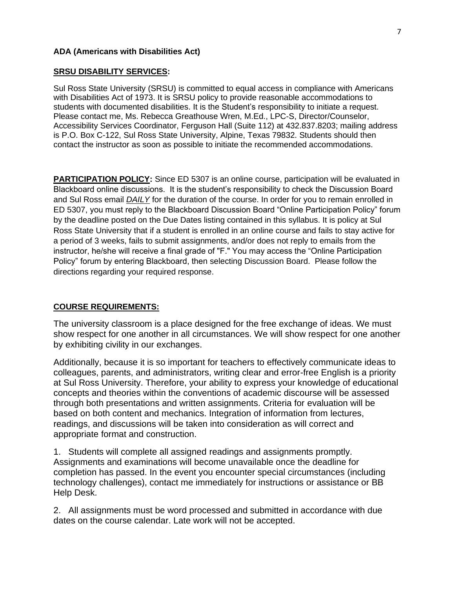## **ADA (Americans with Disabilities Act)**

#### **SRSU DISABILITY SERVICES:**

Sul Ross State University (SRSU) is committed to equal access in compliance with Americans with Disabilities Act of 1973. It is SRSU policy to provide reasonable accommodations to students with documented disabilities. It is the Student's responsibility to initiate a request. Please contact me, Ms. Rebecca Greathouse Wren, M.Ed., LPC-S, Director/Counselor, Accessibility Services Coordinator, Ferguson Hall (Suite 112) at 432.837.8203; mailing address is P.O. Box C-122, Sul Ross State University, Alpine, Texas 79832. Students should then contact the instructor as soon as possible to initiate the recommended accommodations.

**PARTICIPATION POLICY:** Since ED 5307 is an online course, participation will be evaluated in Blackboard online discussions. It is the student's responsibility to check the Discussion Board and Sul Ross email *DAILY* for the duration of the course. In order for you to remain enrolled in ED 5307, you must reply to the Blackboard Discussion Board "Online Participation Policy" forum by the deadline posted on the Due Dates listing contained in this syllabus. It is policy at Sul Ross State University that if a student is enrolled in an online course and fails to stay active for a period of 3 weeks, fails to submit assignments, and/or does not reply to emails from the instructor, he/she will receive a final grade of "F." You may access the "Online Participation Policy" forum by entering Blackboard, then selecting Discussion Board. Please follow the directions regarding your required response.

## **COURSE REQUIREMENTS:**

The university classroom is a place designed for the free exchange of ideas. We must show respect for one another in all circumstances. We will show respect for one another by exhibiting civility in our exchanges.

Additionally, because it is so important for teachers to effectively communicate ideas to colleagues, parents, and administrators, writing clear and error-free English is a priority at Sul Ross University. Therefore, your ability to express your knowledge of educational concepts and theories within the conventions of academic discourse will be assessed through both presentations and written assignments. Criteria for evaluation will be based on both content and mechanics. Integration of information from lectures, readings, and discussions will be taken into consideration as will correct and appropriate format and construction.

1. Students will complete all assigned readings and assignments promptly. Assignments and examinations will become unavailable once the deadline for completion has passed. In the event you encounter special circumstances (including technology challenges), contact me immediately for instructions or assistance or BB Help Desk.

2. All assignments must be word processed and submitted in accordance with due dates on the course calendar. Late work will not be accepted.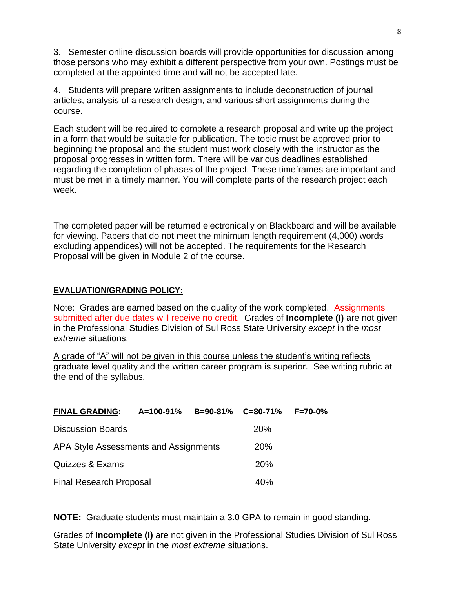3. Semester online discussion boards will provide opportunities for discussion among those persons who may exhibit a different perspective from your own. Postings must be completed at the appointed time and will not be accepted late.

4. Students will prepare written assignments to include deconstruction of journal articles, analysis of a research design, and various short assignments during the course.

Each student will be required to complete a research proposal and write up the project in a form that would be suitable for publication. The topic must be approved prior to beginning the proposal and the student must work closely with the instructor as the proposal progresses in written form. There will be various deadlines established regarding the completion of phases of the project. These timeframes are important and must be met in a timely manner. You will complete parts of the research project each week.

The completed paper will be returned electronically on Blackboard and will be available for viewing. Papers that do not meet the minimum length requirement (4,000) words excluding appendices) will not be accepted. The requirements for the Research Proposal will be given in Module 2 of the course.

## **EVALUATION/GRADING POLICY:**

Note: Grades are earned based on the quality of the work completed. Assignments submitted after due dates will receive no credit. Grades of **Incomplete (I)** are not given in the Professional Studies Division of Sul Ross State University *except* in the *most extreme* situations.

A grade of "A" will not be given in this course unless the student's writing reflects graduate level quality and the written career program is superior. See writing rubric at the end of the syllabus.

| <b>FINAL GRADING:</b>                 | A=100-91%  | $B=90-81\%$ $C=80-71\%$ |                 | $F = 70 - 0\%$ |
|---------------------------------------|------------|-------------------------|-----------------|----------------|
| <b>Discussion Boards</b>              |            |                         | 20%             |                |
| APA Style Assessments and Assignments | <b>20%</b> |                         |                 |                |
| Quizzes & Exams                       |            |                         | 20 <sub>%</sub> |                |
| <b>Final Research Proposal</b>        |            |                         | 40%             |                |

**NOTE:** Graduate students must maintain a 3.0 GPA to remain in good standing.

Grades of **Incomplete (I)** are not given in the Professional Studies Division of Sul Ross State University *except* in the *most extreme* situations.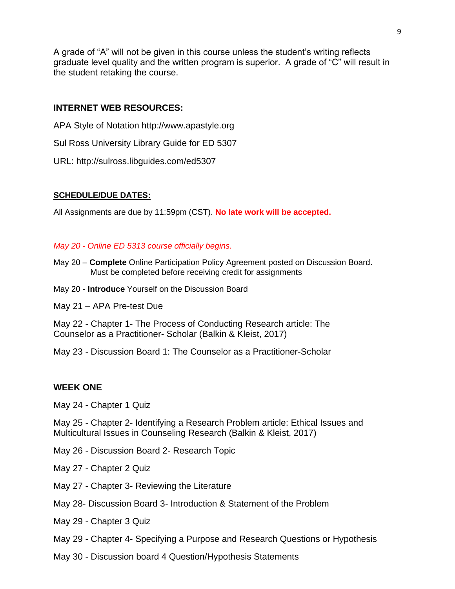A grade of "A" will not be given in this course unless the student's writing reflects graduate level quality and the written program is superior. A grade of "C" will result in the student retaking the course.

## **INTERNET WEB RESOURCES:**

- APA Style of Notation http://www.apastyle.org
- Sul Ross University Library Guide for ED 5307
- URL: http://sulross.libguides.com/ed5307

## **SCHEDULE/DUE DATES:**

All Assignments are due by 11:59pm (CST). **No late work will be accepted.** 

## *May 20 - Online ED 5313 course officially begins.*

- May 20 **Complete** Online Participation Policy Agreement posted on Discussion Board. Must be completed before receiving credit for assignments
- May 20 **Introduce** Yourself on the Discussion Board
- May 21 APA Pre-test Due

May 22 - Chapter 1- The Process of Conducting Research article: The Counselor as a Practitioner- Scholar (Balkin & Kleist, 2017)

May 23 - Discussion Board 1: The Counselor as a Practitioner-Scholar

#### **WEEK ONE**

May 24 - Chapter 1 Quiz

May 25 - Chapter 2- Identifying a Research Problem article: Ethical Issues and Multicultural Issues in Counseling Research (Balkin & Kleist, 2017)

May 26 - Discussion Board 2- Research Topic

May 27 - Chapter 2 Quiz

- May 27 Chapter 3- Reviewing the Literature
- May 28- Discussion Board 3- Introduction & Statement of the Problem
- May 29 Chapter 3 Quiz
- May 29 Chapter 4- Specifying a Purpose and Research Questions or Hypothesis
- May 30 Discussion board 4 Question/Hypothesis Statements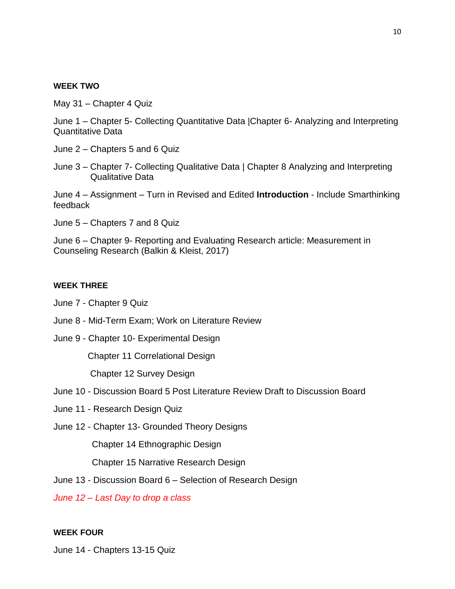#### **WEEK TWO**

May 31 – Chapter 4 Quiz

June 1 – Chapter 5- Collecting Quantitative Data |Chapter 6- Analyzing and Interpreting Quantitative Data

- June 2 Chapters 5 and 6 Quiz
- June 3 Chapter 7- Collecting Qualitative Data | Chapter 8 Analyzing and Interpreting Qualitative Data

June 4 – Assignment – Turn in Revised and Edited **Introduction** - Include Smarthinking feedback

June 5 – Chapters 7 and 8 Quiz

June 6 – Chapter 9- Reporting and Evaluating Research article: Measurement in Counseling Research (Balkin & Kleist, 2017)

#### **WEEK THREE**

June 7 - Chapter 9 Quiz

- June 8 Mid-Term Exam; Work on Literature Review
- June 9 Chapter 10- Experimental Design

Chapter 11 Correlational Design

Chapter 12 Survey Design

- June 10 Discussion Board 5 Post Literature Review Draft to Discussion Board
- June 11 Research Design Quiz
- June 12 Chapter 13- Grounded Theory Designs

Chapter 14 Ethnographic Design

Chapter 15 Narrative Research Design

June 13 - Discussion Board 6 – Selection of Research Design

*June 12 – Last Day to drop a class*

#### **WEEK FOUR**

June 14 - Chapters 13-15 Quiz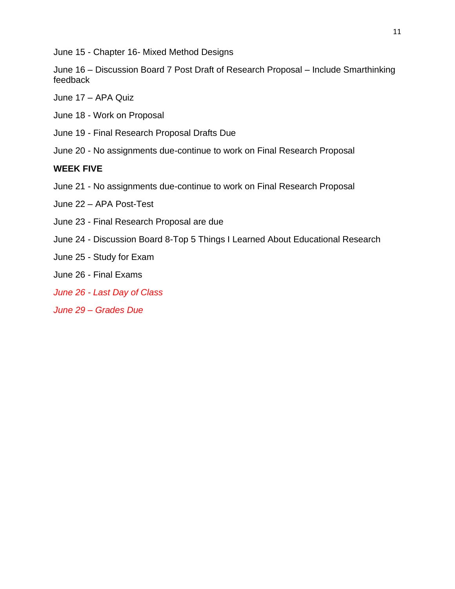June 15 - Chapter 16- Mixed Method Designs

June 16 – Discussion Board 7 Post Draft of Research Proposal – Include Smarthinking feedback

June 17 – APA Quiz

June 18 - Work on Proposal

June 19 - Final Research Proposal Drafts Due

June 20 - No assignments due-continue to work on Final Research Proposal

# **WEEK FIVE**

- June 21 No assignments due-continue to work on Final Research Proposal
- June 22 APA Post-Test
- June 23 Final Research Proposal are due
- June 24 Discussion Board 8-Top 5 Things I Learned About Educational Research
- June 25 Study for Exam
- June 26 Final Exams
- *June 26 - Last Day of Class*
- *June 29 – Grades Due*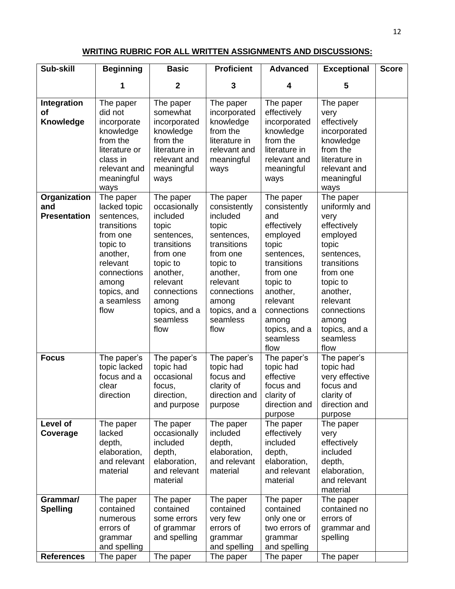## **WRITING RUBRIC FOR ALL WRITTEN ASSIGNMENTS AND DISCUSSIONS:**

| Sub-skill                                  | <b>Beginning</b>                                                                                                                                                    | <b>Basic</b>                                                                                                                                                                             | <b>Proficient</b>                                                                                                                                                                        | <b>Advanced</b>                                                                                                                                                                                                | <b>Exceptional</b>                                                                                                                                                                                               | <b>Score</b> |
|--------------------------------------------|---------------------------------------------------------------------------------------------------------------------------------------------------------------------|------------------------------------------------------------------------------------------------------------------------------------------------------------------------------------------|------------------------------------------------------------------------------------------------------------------------------------------------------------------------------------------|----------------------------------------------------------------------------------------------------------------------------------------------------------------------------------------------------------------|------------------------------------------------------------------------------------------------------------------------------------------------------------------------------------------------------------------|--------------|
|                                            | 1                                                                                                                                                                   | $\mathbf{2}$                                                                                                                                                                             | 3                                                                                                                                                                                        | 4                                                                                                                                                                                                              | 5                                                                                                                                                                                                                |              |
| Integration<br><b>of</b><br>Knowledge      | The paper<br>did not<br>incorporate<br>knowledge<br>from the<br>literature or<br>class in<br>relevant and<br>meaningful<br>ways                                     | The paper<br>somewhat<br>incorporated<br>knowledge<br>from the<br>literature in<br>relevant and<br>meaningful<br>ways                                                                    | The paper<br>incorporated<br>knowledge<br>from the<br>literature in<br>relevant and<br>meaningful<br>ways                                                                                | The paper<br>effectively<br>incorporated<br>knowledge<br>from the<br>literature in<br>relevant and<br>meaningful<br>ways                                                                                       | The paper<br>very<br>effectively<br>incorporated<br>knowledge<br>from the<br>literature in<br>relevant and<br>meaningful<br>ways                                                                                 |              |
| Organization<br>and<br><b>Presentation</b> | The paper<br>lacked topic<br>sentences,<br>transitions<br>from one<br>topic to<br>another,<br>relevant<br>connections<br>among<br>topics, and<br>a seamless<br>flow | The paper<br>occasionally<br>included<br>topic<br>sentences,<br>transitions<br>from one<br>topic to<br>another,<br>relevant<br>connections<br>among<br>topics, and a<br>seamless<br>flow | The paper<br>consistently<br>included<br>topic<br>sentences,<br>transitions<br>from one<br>topic to<br>another,<br>relevant<br>connections<br>among<br>topics, and a<br>seamless<br>flow | The paper<br>consistently<br>and<br>effectively<br>employed<br>topic<br>sentences,<br>transitions<br>from one<br>topic to<br>another,<br>relevant<br>connections<br>among<br>topics, and a<br>seamless<br>flow | The paper<br>uniformly and<br>very<br>effectively<br>employed<br>topic<br>sentences,<br>transitions<br>from one<br>topic to<br>another,<br>relevant<br>connections<br>among<br>topics, and a<br>seamless<br>flow |              |
| <b>Focus</b>                               | The paper's<br>topic lacked<br>focus and a<br>clear<br>direction                                                                                                    | The paper's<br>topic had<br>occasional<br>focus,<br>direction,<br>and purpose                                                                                                            | The paper's<br>topic had<br>focus and<br>clarity of<br>direction and<br>purpose                                                                                                          | The paper's<br>topic had<br>effective<br>focus and<br>clarity of<br>direction and<br>purpose                                                                                                                   | The paper's<br>topic had<br>very effective<br>focus and<br>clarity of<br>direction and<br>purpose                                                                                                                |              |
| Level of<br>Coverage                       | The paper<br>lacked<br>depth,<br>elaboration,<br>and relevant<br>material                                                                                           | The paper<br>occasionally<br>included<br>depth,<br>elaboration,<br>and relevant<br>material                                                                                              | The paper<br>included<br>depth,<br>elaboration,<br>and relevant<br>material                                                                                                              | The paper<br>effectively<br>included<br>depth,<br>elaboration,<br>and relevant<br>material                                                                                                                     | The paper<br>very<br>effectively<br>included<br>depth,<br>elaboration,<br>and relevant<br>material                                                                                                               |              |
| Grammar/<br><b>Spelling</b>                | The paper<br>contained<br>numerous<br>errors of<br>grammar<br>and spelling                                                                                          | The paper<br>contained<br>some errors<br>of grammar<br>and spelling                                                                                                                      | The paper<br>contained<br>very few<br>errors of<br>grammar<br>and spelling                                                                                                               | The paper<br>contained<br>only one or<br>two errors of<br>grammar<br>and spelling                                                                                                                              | The paper<br>contained no<br>errors of<br>grammar and<br>spelling                                                                                                                                                |              |
| <b>References</b>                          | The paper                                                                                                                                                           | The paper                                                                                                                                                                                | The paper                                                                                                                                                                                | The paper                                                                                                                                                                                                      | The paper                                                                                                                                                                                                        |              |